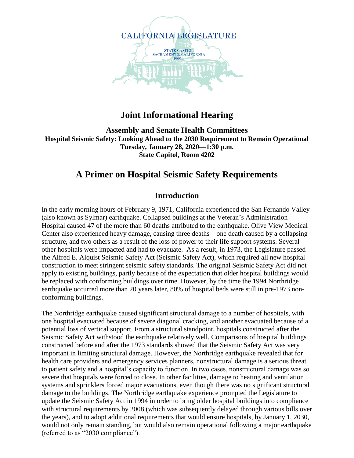

#### **Joint Informational Hearing**

**Assembly and Senate Health Committees Hospital Seismic Safety: Looking Ahead to the 2030 Requirement to Remain Operational Tuesday, January 28, 2020—1:30 p.m. State Capitol, Room 4202**

### **A Primer on Hospital Seismic Safety Requirements**

#### **Introduction**

In the early morning hours of February 9, 1971, California experienced the San Fernando Valley (also known as Sylmar) earthquake. Collapsed buildings at the Veteran's Administration Hospital caused 47 of the more than 60 deaths attributed to the earthquake. Olive View Medical Center also experienced heavy damage, causing three deaths – one death caused by a collapsing structure, and two others as a result of the loss of power to their life support systems. Several other hospitals were impacted and had to evacuate. As a result, in 1973, the Legislature passed the Alfred E. Alquist Seismic Safety Act (Seismic Safety Act), which required all new hospital construction to meet stringent seismic safety standards. The original Seismic Safety Act did not apply to existing buildings, partly because of the expectation that older hospital buildings would be replaced with conforming buildings over time. However, by the time the 1994 Northridge earthquake occurred more than 20 years later, 80% of hospital beds were still in pre-1973 nonconforming buildings.

The Northridge earthquake caused significant structural damage to a number of hospitals, with one hospital evacuated because of severe diagonal cracking, and another evacuated because of a potential loss of vertical support. From a structural standpoint, hospitals constructed after the Seismic Safety Act withstood the earthquake relatively well. Comparisons of hospital buildings constructed before and after the 1973 standards showed that the Seismic Safety Act was very important in limiting structural damage. However, the Northridge earthquake revealed that for health care providers and emergency services planners, nonstructural damage is a serious threat to patient safety and a hospital's capacity to function. In two cases, nonstructural damage was so severe that hospitals were forced to close. In other facilities, damage to heating and ventilation systems and sprinklers forced major evacuations, even though there was no significant structural damage to the buildings. The Northridge earthquake experience prompted the Legislature to update the Seismic Safety Act in 1994 in order to bring older hospital buildings into compliance with structural requirements by 2008 (which was subsequently delayed through various bills over the years), and to adopt additional requirements that would ensure hospitals, by January 1, 2030, would not only remain standing, but would also remain operational following a major earthquake (referred to as "2030 compliance").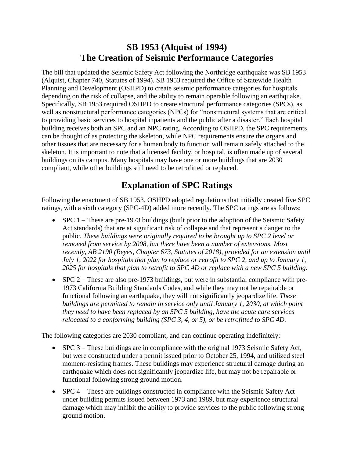### **SB 1953 (Alquist of 1994) The Creation of Seismic Performance Categories**

The bill that updated the Seismic Safety Act following the Northridge earthquake was SB 1953 (Alquist, Chapter 740, Statutes of 1994). SB 1953 required the Office of Statewide Health Planning and Development (OSHPD) to create seismic performance categories for hospitals depending on the risk of collapse, and the ability to remain operable following an earthquake. Specifically, SB 1953 required OSHPD to create structural performance categories (SPCs), as well as nonstructural performance categories (NPCs) for "nonstructural systems that are critical to providing basic services to hospital inpatients and the public after a disaster." Each hospital building receives both an SPC and an NPC rating. According to OSHPD, the SPC requirements can be thought of as protecting the skeleton, while NPC requirements ensure the organs and other tissues that are necessary for a human body to function will remain safely attached to the skeleton. It is important to note that a licensed facility, or hospital, is often made up of several buildings on its campus. Many hospitals may have one or more buildings that are 2030 compliant, while other buildings still need to be retrofitted or replaced.

## **Explanation of SPC Ratings**

Following the enactment of SB 1953, OSHPD adopted regulations that initially created five SPC ratings, with a sixth category (SPC-4D) added more recently. The SPC ratings are as follows:

- $\bullet$  SPC 1 These are pre-1973 buildings (built prior to the adoption of the Seismic Safety Act standards) that are at significant risk of collapse and that represent a danger to the public. *These buildings were originally required to be brought up to SPC 2 level or removed from service by 2008, but there have been a number of extensions. Most recently, AB 2190 (Reyes, Chapter 673, Statutes of 2018), provided for an extension until July 1, 2022 for hospitals that plan to replace or retrofit to SPC 2, and up to January 1, 2025 for hospitals that plan to retrofit to SPC 4D or replace with a new SPC 5 building.*
- $\bullet$  SPC 2 These are also pre-1973 buildings, but were in substantial compliance with pre-1973 California Building Standards Codes, and while they may not be repairable or functional following an earthquake, they will not significantly jeopardize life. *These buildings are permitted to remain in service only until January 1, 2030, at which point they need to have been replaced by an SPC 5 building, have the acute care services relocated to a conforming building (SPC 3, 4, or 5), or be retrofitted to SPC 4D.*

The following categories are 2030 compliant, and can continue operating indefinitely:

- SPC 3 These buildings are in compliance with the original 1973 Seismic Safety Act, but were constructed under a permit issued prior to October 25, 1994, and utilized steel moment-resisting frames. These buildings may experience structural damage during an earthquake which does not significantly jeopardize life, but may not be repairable or functional following strong ground motion.
- SPC 4 These are buildings constructed in compliance with the Seismic Safety Act under building permits issued between 1973 and 1989, but may experience structural damage which may inhibit the ability to provide services to the public following strong ground motion.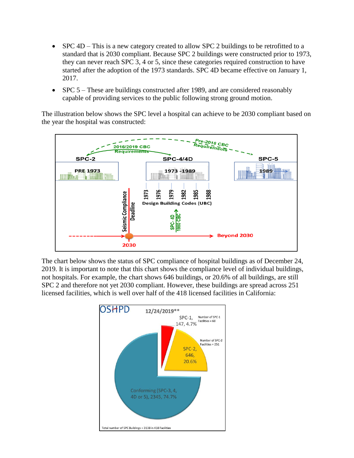- SPC 4D This is a new category created to allow SPC 2 buildings to be retrofitted to a standard that is 2030 compliant. Because SPC 2 buildings were constructed prior to 1973, they can never reach SPC 3, 4 or 5, since these categories required construction to have started after the adoption of the 1973 standards. SPC 4D became effective on January 1, 2017.
- SPC 5 These are buildings constructed after 1989, and are considered reasonably capable of providing services to the public following strong ground motion.

The illustration below shows the SPC level a hospital can achieve to be 2030 compliant based on the year the hospital was constructed:



The chart below shows the status of SPC compliance of hospital buildings as of December 24, 2019. It is important to note that this chart shows the compliance level of individual buildings, not hospitals. For example, the chart shows 646 buildings, or 20.6% of all buildings, are still SPC 2 and therefore not yet 2030 compliant. However, these buildings are spread across 251 licensed facilities, which is well over half of the 418 licensed facilities in California:

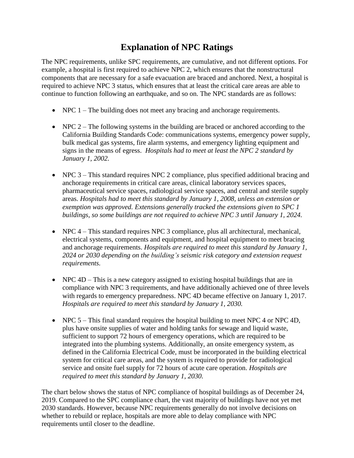# **Explanation of NPC Ratings**

The NPC requirements, unlike SPC requirements, are cumulative, and not different options. For example, a hospital is first required to achieve NPC 2, which ensures that the nonstructural components that are necessary for a safe evacuation are braced and anchored. Next, a hospital is required to achieve NPC 3 status, which ensures that at least the critical care areas are able to continue to function following an earthquake, and so on. The NPC standards are as follows:

- NPC 1 The building does not meet any bracing and anchorage requirements.
- NPC 2 The following systems in the building are braced or anchored according to the California Building Standards Code: communications systems, emergency power supply, bulk medical gas systems, fire alarm systems, and emergency lighting equipment and signs in the means of egress. *Hospitals had to meet at least the NPC 2 standard by January 1, 2002.*
- NPC 3 This standard requires NPC 2 compliance, plus specified additional bracing and anchorage requirements in critical care areas, clinical laboratory services spaces, pharmaceutical service spaces, radiological service spaces, and central and sterile supply areas. *Hospitals had to meet this standard by January 1, 2008, unless an extension or exemption was approved. Extensions generally tracked the extensions given to SPC 1 buildings, so some buildings are not required to achieve NPC 3 until January 1, 2024.*
- NPC 4 This standard requires NPC 3 compliance, plus all architectural, mechanical, electrical systems, components and equipment, and hospital equipment to meet bracing and anchorage requirements. *Hospitals are required to meet this standard by January 1, 2024 or 2030 depending on the building's seismic risk category and extension request requirements.*
- NPC  $4D$  This is a new category assigned to existing hospital buildings that are in compliance with NPC 3 requirements, and have additionally achieved one of three levels with regards to emergency preparedness. NPC 4D became effective on January 1, 2017. *Hospitals are required to meet this standard by January 1, 2030.*
- NPC  $5 -$ This final standard requires the hospital building to meet NPC  $4$  or NPC  $4D$ , plus have onsite supplies of water and holding tanks for sewage and liquid waste, sufficient to support 72 hours of emergency operations, which are required to be integrated into the plumbing systems. Additionally, an onsite emergency system, as defined in the California Electrical Code, must be incorporated in the building electrical system for critical care areas, and the system is required to provide for radiological service and onsite fuel supply for 72 hours of acute care operation. *Hospitals are required to meet this standard by January 1, 2030.*

The chart below shows the status of NPC compliance of hospital buildings as of December 24, 2019. Compared to the SPC compliance chart, the vast majority of buildings have not yet met 2030 standards. However, because NPC requirements generally do not involve decisions on whether to rebuild or replace, hospitals are more able to delay compliance with NPC requirements until closer to the deadline.